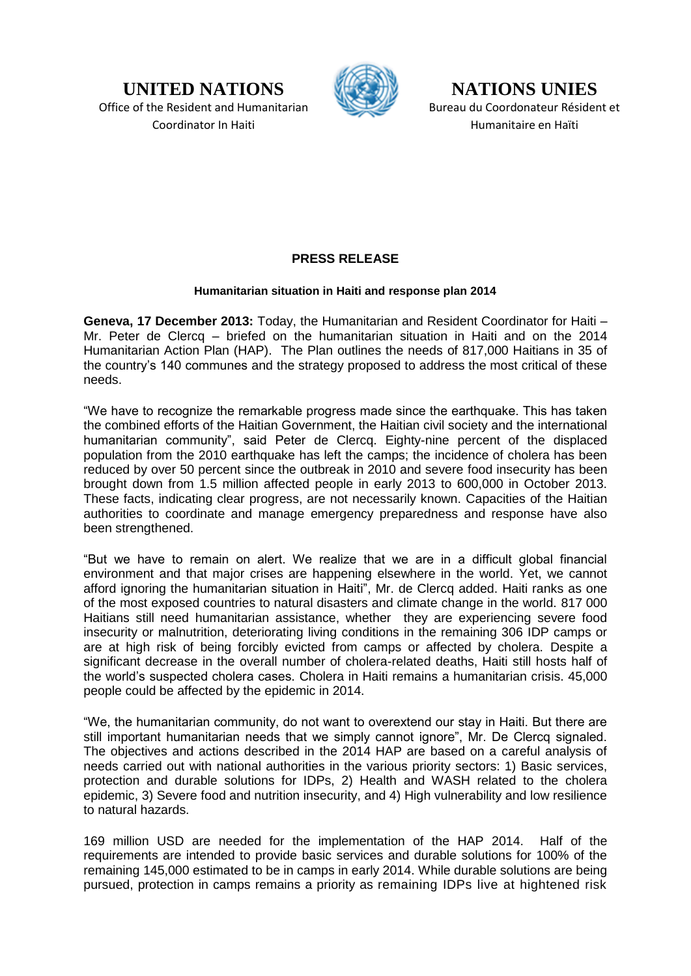**UNITED NATIONS** Office of the Resident and Humanitarian Coordinator In Haiti



**NATIONS UNIES** Bureau du Coordonateur Résident et Humanitaire en Haïti

## **PRESS RELEASE**

## **Humanitarian situation in Haiti and response plan 2014**

**Geneva, 17 December 2013:** Today, the Humanitarian and Resident Coordinator for Haiti – Mr. Peter de Clercq – briefed on the humanitarian situation in Haiti and on the 2014 Humanitarian Action Plan (HAP). The Plan outlines the needs of 817,000 Haitians in 35 of the country's 140 communes and the strategy proposed to address the most critical of these needs.

"We have to recognize the remarkable progress made since the earthquake. This has taken the combined efforts of the Haitian Government, the Haitian civil society and the international humanitarian community", said Peter de Clercq. Eighty-nine percent of the displaced population from the 2010 earthquake has left the camps; the incidence of cholera has been reduced by over 50 percent since the outbreak in 2010 and severe food insecurity has been brought down from 1.5 million affected people in early 2013 to 600,000 in October 2013. These facts, indicating clear progress, are not necessarily known. Capacities of the Haitian authorities to coordinate and manage emergency preparedness and response have also been strengthened.

"But we have to remain on alert. We realize that we are in a difficult global financial environment and that major crises are happening elsewhere in the world. Yet, we cannot afford ignoring the humanitarian situation in Haiti", Mr. de Clercq added. Haiti ranks as one of the most exposed countries to natural disasters and climate change in the world. 817 000 Haitians still need humanitarian assistance, whether they are experiencing severe food insecurity or malnutrition, deteriorating living conditions in the remaining 306 IDP camps or are at high risk of being forcibly evicted from camps or affected by cholera. Despite a significant decrease in the overall number of cholera-related deaths, Haiti still hosts half of the world's suspected cholera cases. Cholera in Haiti remains a humanitarian crisis. 45,000 people could be affected by the epidemic in 2014.

"We, the humanitarian community, do not want to overextend our stay in Haiti. But there are still important humanitarian needs that we simply cannot ignore", Mr. De Clercq signaled. The objectives and actions described in the 2014 HAP are based on a careful analysis of needs carried out with national authorities in the various priority sectors: 1) Basic services, protection and durable solutions for IDPs, 2) Health and WASH related to the cholera epidemic, 3) Severe food and nutrition insecurity, and 4) High vulnerability and low resilience to natural hazards.

169 million USD are needed for the implementation of the HAP 2014. Half of the requirements are intended to provide basic services and durable solutions for 100% of the remaining 145,000 estimated to be in camps in early 2014. While durable solutions are being pursued, protection in camps remains a priority as remaining IDPs live at hightened risk